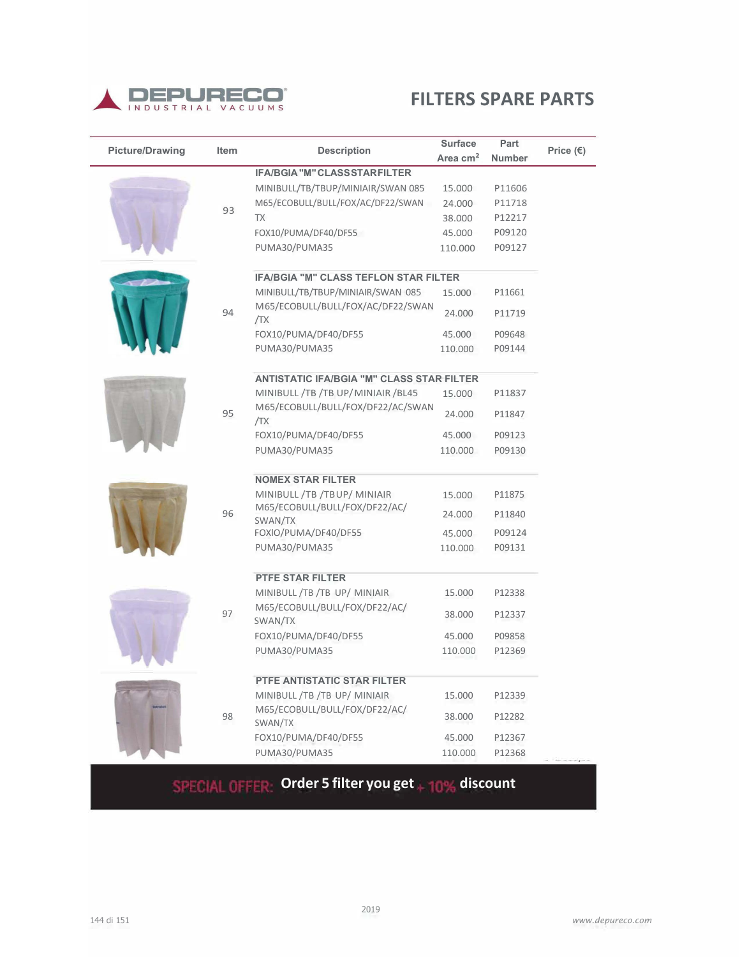

|                        | Item |                                                  | <b>Surface</b> | Part          |                    |
|------------------------|------|--------------------------------------------------|----------------|---------------|--------------------|
| <b>Picture/Drawing</b> |      | <b>Description</b>                               | Area $cm2$     | <b>Number</b> | Price $(\epsilon)$ |
|                        |      | <b>IFA/BGIA "M" CLASS STARFILTER</b>             |                |               |                    |
|                        |      | MINIBULL/TB/TBUP/MINIAIR/SWAN 085                | 15.000         | P11606        |                    |
|                        | 93   | M65/ECOBULL/BULL/FOX/AC/DF22/SWAN                | 24.000         | P11718        |                    |
|                        |      | TX                                               | 38.000         | P12217        |                    |
|                        |      | FOX10/PUMA/DF40/DF55                             | 45.000         | P09120        |                    |
|                        |      | PUMA30/PUMA35                                    | 110.000        | P09127        |                    |
|                        |      | <b>IFA/BGIA "M" CLASS TEFLON STAR FILTER</b>     |                |               |                    |
|                        |      | MINIBULL/TB/TBUP/MINIAIR/SWAN 085                | 15.000         | P11661        |                    |
|                        | 94   | M65/ECOBULL/BULL/FOX/AC/DF22/SWAN<br>/TX         | 24.000         | P11719        |                    |
|                        |      | FOX10/PUMA/DF40/DF55                             | 45.000         | P09648        |                    |
|                        |      | PUMA30/PUMA35                                    | 110.000        | P09144        |                    |
|                        |      | <b>ANTISTATIC IFA/BGIA "M" CLASS STAR FILTER</b> |                |               |                    |
|                        |      | MINIBULL /TB /TB UP/MINIAIR /BL45                | 15.000         | P11837        |                    |
|                        | 95   | M65/ECOBULL/BULL/FOX/DF22/AC/SWAN<br>/TX         | 24.000         | P11847        |                    |
|                        |      | FOX10/PUMA/DF40/DF55                             | 45.000         | P09123        |                    |
|                        |      | PUMA30/PUMA35                                    | 110.000        | P09130        |                    |
|                        |      | <b>NOMEX STAR FILTER</b>                         |                |               |                    |
|                        | 96   | MINIBULL /TB /TBUP/ MINIAIR                      | 15.000         | P11875        |                    |
|                        |      | M65/ECOBULL/BULL/FOX/DF22/AC/<br>SWAN/TX         | 24.000         | P11840        |                    |
|                        |      | FOXIO/PUMA/DF40/DF55                             | 45.000         | P09124        |                    |
|                        |      | PUMA30/PUMA35                                    | 110.000        | P09131        |                    |
|                        |      | <b>PTFE STAR FILTER</b>                          |                |               |                    |
|                        |      | MINIBULL /TB /TB UP/ MINIAIR                     | 15.000         | P12338        |                    |
|                        | 97   | M65/ECOBULL/BULL/FOX/DF22/AC/<br>SWAN/TX         | 38.000         | P12337        |                    |
|                        |      | FOX10/PUMA/DF40/DF55                             | 45.000         | P09858        |                    |
|                        |      | PUMA30/PUMA35                                    | 110.000        | P12369        |                    |
|                        |      | <b>PTFE ANTISTATIC STAR FILTER</b>               |                |               |                    |
|                        |      | MINIBULL /TB /TB UP/ MINIAIR                     | 15.000         | P12339        |                    |
|                        | 98   | M65/ECOBULL/BULL/FOX/DF22/AC/<br>SWAN/TX         | 38.000         | P12282        |                    |
|                        |      | FOX10/PUMA/DF40/DF55                             | 45.000         | P12367        |                    |
|                        |      | PUMA30/PUMA35                                    | 110.000        | P12368        |                    |

# **SPECIAL OFFER Order 5 filter you get + 10% discount**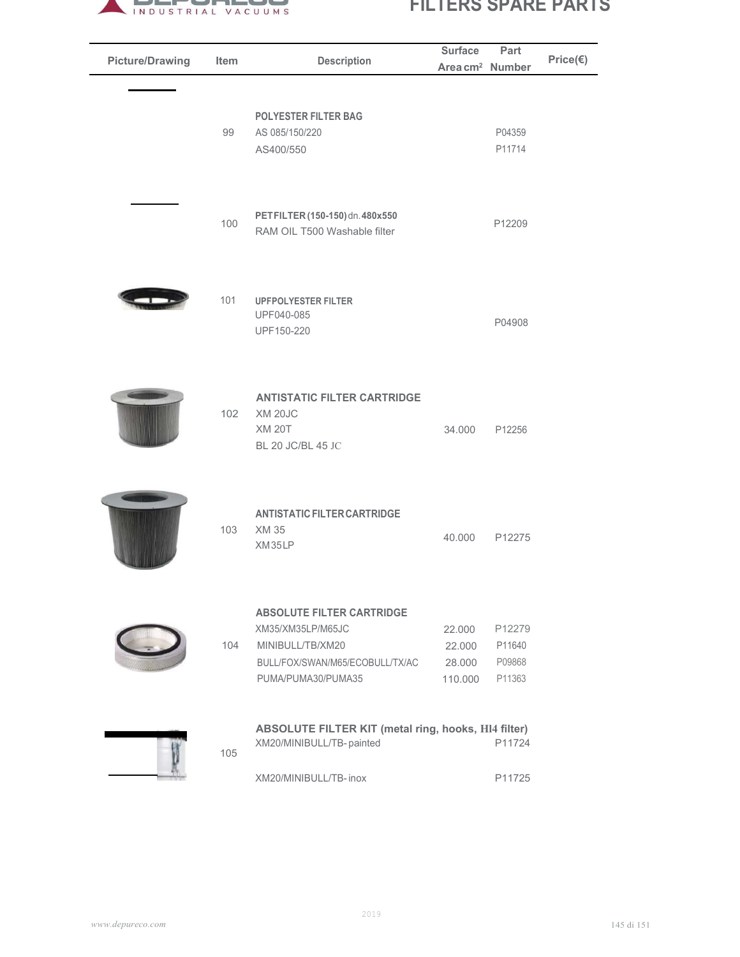

| <b>Picture/Drawing</b> | Item | <b>Description</b>                                                                                                                 | <b>Surface</b><br>Area cm <sup>2</sup> Number | Part                                 | Price(€) |
|------------------------|------|------------------------------------------------------------------------------------------------------------------------------------|-----------------------------------------------|--------------------------------------|----------|
|                        | 99   | <b>POLYESTER FILTER BAG</b><br>AS 085/150/220                                                                                      |                                               | P04359                               |          |
|                        |      | AS400/550                                                                                                                          |                                               | P11714                               |          |
|                        | 100  | PETFILTER (150-150) dn. 480x550<br>RAM OIL T500 Washable filter                                                                    |                                               | P12209                               |          |
|                        | 101  | <b>UPFPOLYESTER FILTER</b><br>UPF040-085<br>UPF150-220                                                                             |                                               | P04908                               |          |
|                        | 102  | <b>ANTISTATIC FILTER CARTRIDGE</b><br>XM 20JC<br><b>XM 20T</b><br>BL 20 JC/BL 45 JC                                                | 34.000                                        | P12256                               |          |
|                        | 103  | <b>ANTISTATIC FILTER CARTRIDGE</b><br>XM 35<br>XM35LP                                                                              | 40.000                                        | P12275                               |          |
|                        | 104  | <b>ABSOLUTE FILTER CARTRIDGE</b><br>XM35/XM35LP/M65JC<br>MINIBULL/TB/XM20<br>BULL/FOX/SWAN/M65/ECOBULL/TX/AC<br>PUMA/PUMA30/PUMA35 | 22.000<br>22.000<br>28.000<br>110.000         | P12279<br>P11640<br>P09868<br>P11363 |          |
|                        | 105  | <b>ABSOLUTE FILTER KIT (metal ring, hooks, HI4 filter)</b><br>XM20/MINIBULL/TB-painted                                             |                                               | P11724                               |          |
|                        |      | XM20/MINIBULL/TB-inox                                                                                                              |                                               | P11725                               |          |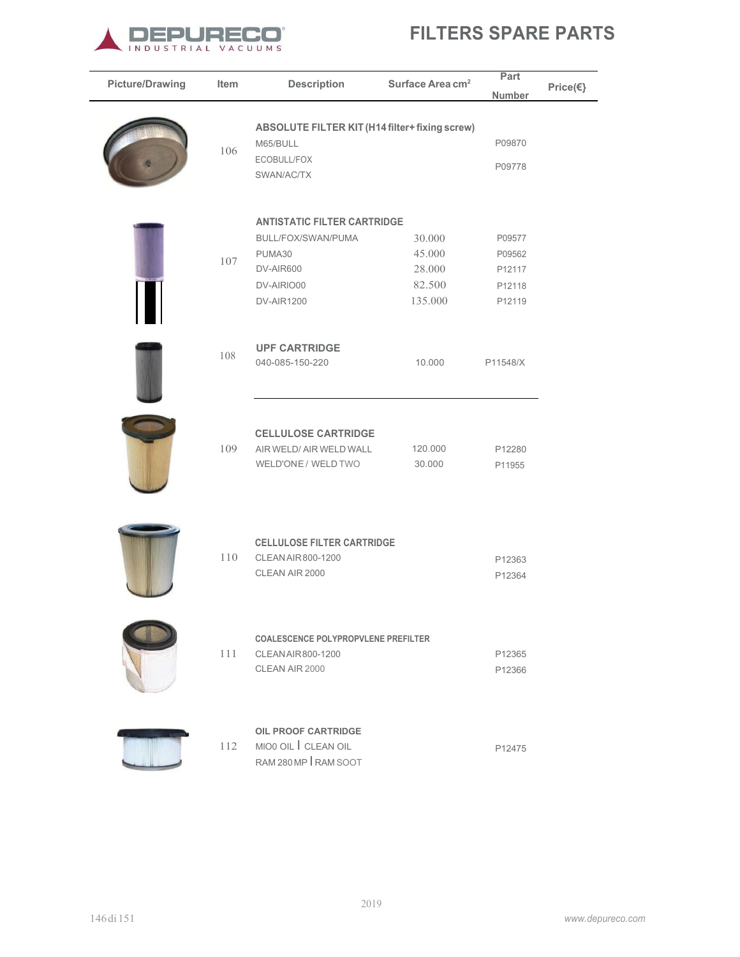

| <b>Picture/Drawing</b> | Item | <b>Description</b>                                                                                                 | Surface Area cm <sup>2</sup>                    | Part<br><b>Number</b>                          | Price(€} |
|------------------------|------|--------------------------------------------------------------------------------------------------------------------|-------------------------------------------------|------------------------------------------------|----------|
|                        | 106  | <b>ABSOLUTE FILTER KIT (H14 filter+ fixing screw)</b><br>M65/BULL<br>ECOBULL/FOX<br>SWAN/AC/TX                     |                                                 | P09870<br>P09778                               |          |
|                        | 107  | <b>ANTISTATIC FILTER CARTRIDGE</b><br>BULL/FOX/SWAN/PUMA<br>PUMA30<br>DV-AIR600<br>DV-AIRIO00<br><b>DV-AIR1200</b> | 30.000<br>45.000<br>28.000<br>82.500<br>135.000 | P09577<br>P09562<br>P12117<br>P12118<br>P12119 |          |
|                        | 108  | <b>UPF CARTRIDGE</b><br>040-085-150-220                                                                            | 10.000                                          | P11548/X                                       |          |
|                        | 109  | <b>CELLULOSE CARTRIDGE</b><br>AIR WELD/ AIR WELD WALL<br>WELD'ONE / WELD TWO                                       | 120.000<br>30.000                               | P12280<br>P11955                               |          |
|                        | 110  | <b>CELLULOSE FILTER CARTRIDGE</b><br>CLEAN AIR 800-1200<br>CLEAN AIR 2000                                          |                                                 | P12363<br>P12364                               |          |
|                        | 111  | <b>COALESCENCE POLYPROPVLENE PREFILTER</b><br>CLEAN AIR 800-1200<br>CLEAN AIR 2000                                 |                                                 | P12365<br>P12366                               |          |
|                        | 112  | <b>OIL PROOF CARTRIDGE</b><br>MIO0 OIL CLEAN OIL<br>RAM 280 MP RAM SOOT                                            |                                                 | P12475                                         |          |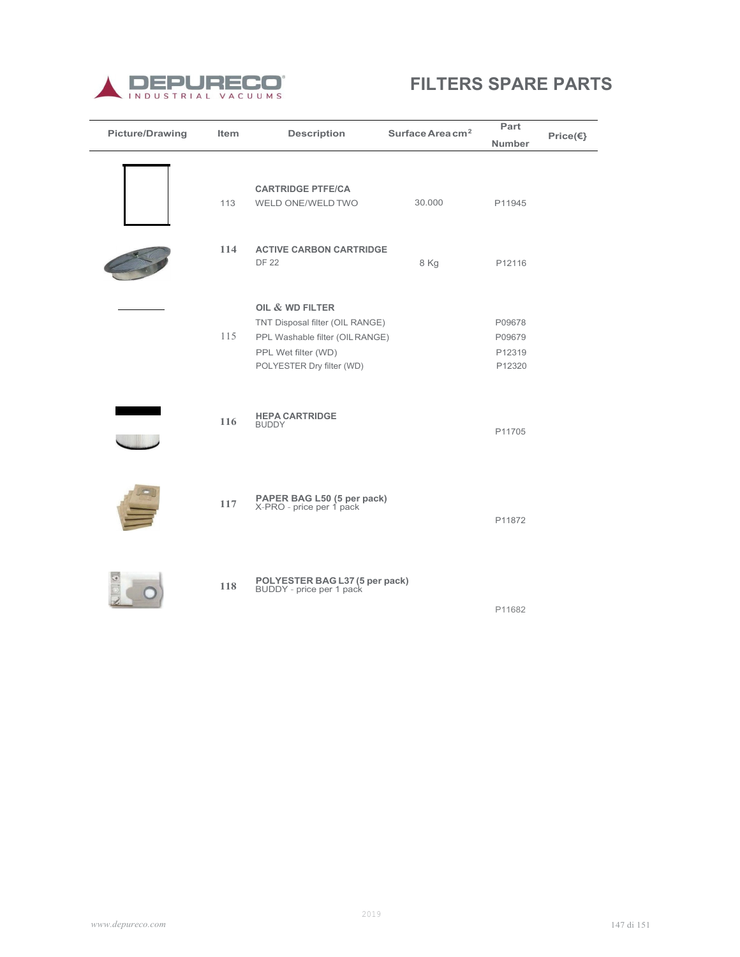

| <b>Picture/Drawing</b> | Item | <b>Description</b>                                                                                                                       | Surface Area $cm2$ | Part<br><b>Number</b>                | Price(€} |
|------------------------|------|------------------------------------------------------------------------------------------------------------------------------------------|--------------------|--------------------------------------|----------|
|                        | 113  | <b>CARTRIDGE PTFE/CA</b><br>WELD ONE/WELD TWO                                                                                            | 30.000             | P11945                               |          |
|                        | 114  | <b>ACTIVE CARBON CARTRIDGE</b><br><b>DF 22</b>                                                                                           | 8 Kg               | P12116                               |          |
|                        | 115  | OIL & WD FILTER<br>TNT Disposal filter (OIL RANGE)<br>PPL Washable filter (OILRANGE)<br>PPL Wet filter (WD)<br>POLYESTER Dry filter (WD) |                    | P09678<br>P09679<br>P12319<br>P12320 |          |
|                        | 116  | <b>HEPA CARTRIDGE</b><br><b>BUDDY</b>                                                                                                    |                    | P11705                               |          |
|                        | 117  | <b>PAPER BAG L50 (5 per pack)</b><br>X-PRO - price per 1 pack                                                                            |                    | P11872                               |          |
|                        | 118  | POLYESTER BAG L37 (5 per pack)<br>BUDDY - price per 1 pack                                                                               |                    | P11682                               |          |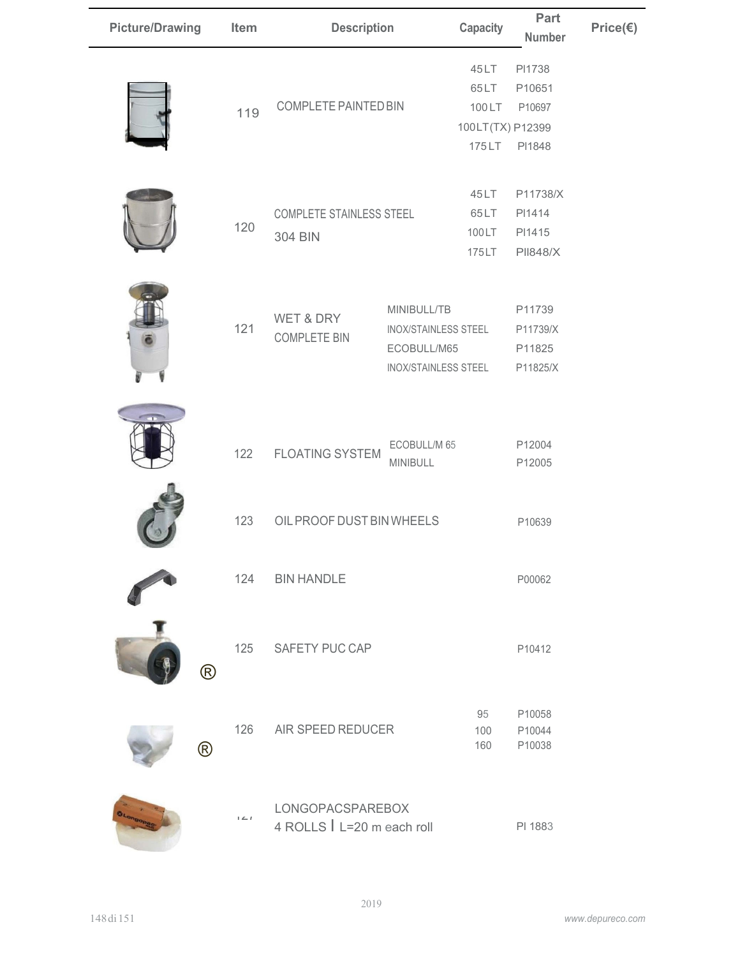| <b>Picture/Drawing</b> | Item                  | <b>Description</b>                             |                                                                                          | <b>Capacity</b>                | Part<br><b>Number</b>                                    | Price(€) |
|------------------------|-----------------------|------------------------------------------------|------------------------------------------------------------------------------------------|--------------------------------|----------------------------------------------------------|----------|
|                        | 119                   | COMPLETE PAINTED BIN                           |                                                                                          | 45LT<br>65LT<br>100LT<br>175LT | PI1738<br>P10651<br>P10697<br>100LT(TX) P12399<br>PI1848 |          |
|                        | 120                   | <b>COMPLETE STAINLESS STEEL</b><br>304 BIN     |                                                                                          | 45LT<br>65LT<br>100LT<br>175LT | P11738/X<br>PI1414<br>PI1415<br><b>PII848/X</b>          |          |
|                        | 121                   | WET & DRY<br><b>COMPLETE BIN</b>               | MINIBULL/TB<br><b>INOX/STAINLESS STEEL</b><br>ECOBULL/M65<br><b>INOX/STAINLESS STEEL</b> |                                | P11739<br>P11739/X<br>P11825<br>P11825/X                 |          |
|                        | 122                   | <b>FLOATING SYSTEM</b>                         | ECOBULL/M 65<br>MINIBULL                                                                 |                                | P12004<br>P12005                                         |          |
|                        | 123                   | OIL PROOF DUST BIN WHEELS                      |                                                                                          |                                | P10639                                                   |          |
|                        | 124                   | <b>BIN HANDLE</b>                              |                                                                                          |                                | P00062                                                   |          |
|                        | 125<br>$^{\circledR}$ | SAFETY PUC CAP                                 |                                                                                          |                                | P10412                                                   |          |
| $^{\circledR}$         | 126                   | AIR SPEED REDUCER                              |                                                                                          | 95<br>100<br>160               | P10058<br>P10044<br>P10038                               |          |
|                        | $1 \leq l$            | LONGOPACSPAREBOX<br>4 ROLLS   L=20 m each roll |                                                                                          |                                | PI 1883                                                  |          |